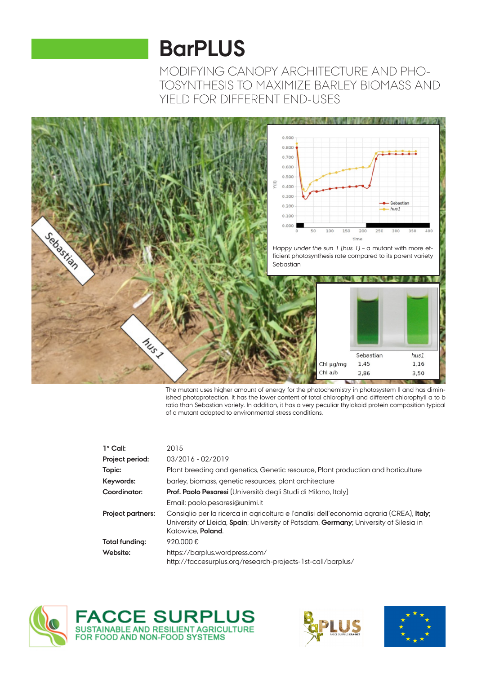# **BarPLUS**

MODIFYING CANOPY ARCHITECTURE AND PHO-TOSYNTHESIS TO MAXIMIZE BARLEY BIOMASS AND YIELD FOR DIFFERENT END-USES



The mutant uses higher amount of energy for the photochemistry in photosystem II and has diminished photoprotection. It has the lower content of total chlorophyll and different chlorophyll a to b ratio than Sebastian variety. In addition, it has a very peculiar thylakoid protein composition typical of a mutant adapted to environmental stress conditions.

| $1^{\circ}$ Call:        | 2015                                                                                                                                                                                                                   |
|--------------------------|------------------------------------------------------------------------------------------------------------------------------------------------------------------------------------------------------------------------|
| Project period:          | 03/2016 - 02/2019                                                                                                                                                                                                      |
| Topic:                   | Plant breeding and genetics, Genetic resource, Plant production and horticulture                                                                                                                                       |
| Keywords:                | barley, biomass, genetic resources, plant architecture                                                                                                                                                                 |
| Coordinator:             | Prof. Paolo Pesaresi (Università degli Studi di Milano, Italy)                                                                                                                                                         |
|                          | Email: paolo.pesaresi@unimi.it                                                                                                                                                                                         |
| <b>Project partners:</b> | Consiglio per la ricerca in agricoltura e l'analisi dell'economia agraria (CREA), <b>Italy</b> ;<br>University of Lleida, Spain; University of Potsdam, Germany; University of Silesia in<br>Katowice. <b>Poland</b> . |
| Total funding:           | 920.000€                                                                                                                                                                                                               |
| Website:                 | https://barplus.wordpress.com/<br>http://faccesurplus.org/research-projects-1st-call/barplus/                                                                                                                          |